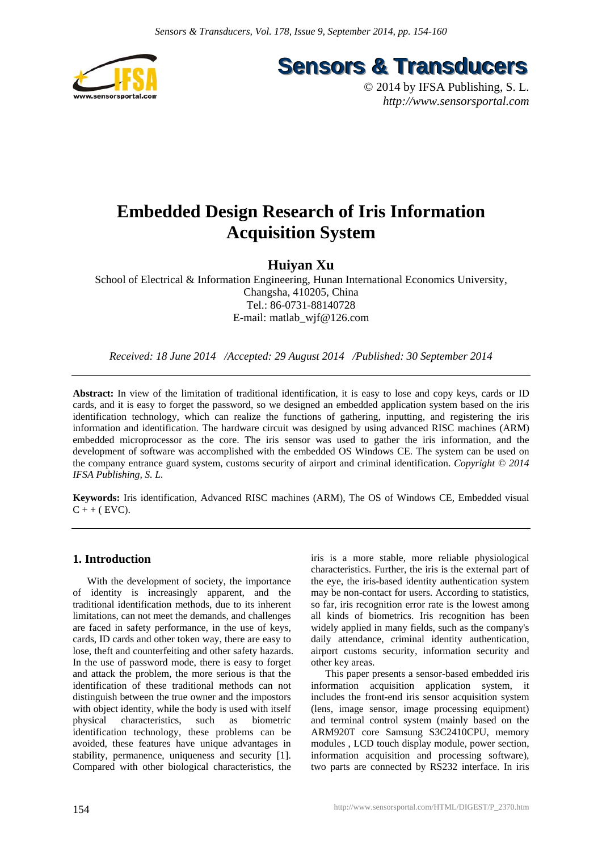

**Sensors & Transducers** 

© 2014 by IFSA Publishing, S. L. *http://www.sensorsportal.com*

# **Embedded Design Research of Iris Information Acquisition System**

# **Huiyan Xu**

School of Electrical & Information Engineering, Hunan International Economics University, Changsha, 410205, China Tel.: 86-0731-88140728 E-mail: matlab\_wjf@126.com

*Received: 18 June 2014 /Accepted: 29 August 2014 /Published: 30 September 2014* 

**Abstract:** In view of the limitation of traditional identification, it is easy to lose and copy keys, cards or ID cards, and it is easy to forget the password, so we designed an embedded application system based on the iris identification technology, which can realize the functions of gathering, inputting, and registering the iris information and identification. The hardware circuit was designed by using advanced RISC machines (ARM) embedded microprocessor as the core. The iris sensor was used to gather the iris information, and the development of software was accomplished with the embedded OS Windows CE. The system can be used on the company entrance guard system, customs security of airport and criminal identification. *Copyright © 2014 IFSA Publishing, S. L.*

**Keywords:** Iris identification, Advanced RISC machines (ARM), The OS of Windows CE, Embedded visual  $C + + (EVC)$ .

# **1. Introduction**

With the development of society, the importance of identity is increasingly apparent, and the traditional identification methods, due to its inherent limitations, can not meet the demands, and challenges are faced in safety performance, in the use of keys, cards, ID cards and other token way, there are easy to lose, theft and counterfeiting and other safety hazards. In the use of password mode, there is easy to forget and attack the problem, the more serious is that the identification of these traditional methods can not distinguish between the true owner and the impostors with object identity, while the body is used with itself physical characteristics, such as biometric identification technology, these problems can be avoided, these features have unique advantages in stability, permanence, uniqueness and security [1]. Compared with other biological characteristics, the

iris is a more stable, more reliable physiological characteristics. Further, the iris is the external part of the eye, the iris-based identity authentication system may be non-contact for users. According to statistics, so far, iris recognition error rate is the lowest among all kinds of biometrics. Iris recognition has been widely applied in many fields, such as the company's daily attendance, criminal identity authentication, airport customs security, information security and other key areas.

This paper presents a sensor-based embedded iris information acquisition application system, it includes the front-end iris sensor acquisition system (lens, image sensor, image processing equipment) and terminal control system (mainly based on the ARM920T core Samsung S3C2410CPU, memory modules , LCD touch display module, power section, information acquisition and processing software), two parts are connected by RS232 interface. In iris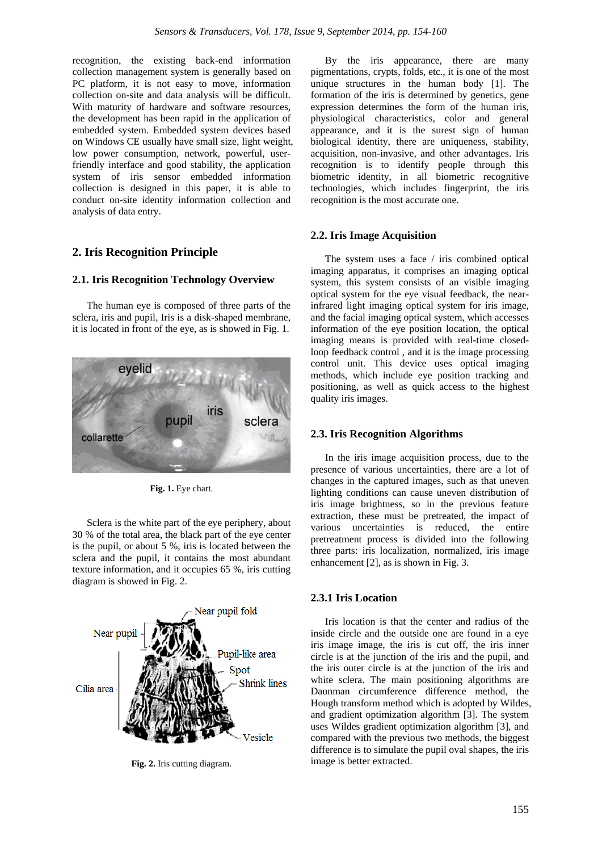recognition, the existing back-end information collection management system is generally based on PC platform, it is not easy to move, information collection on-site and data analysis will be difficult. With maturity of hardware and software resources, the development has been rapid in the application of embedded system. Embedded system devices based on Windows CE usually have small size, light weight, low power consumption, network, powerful, userfriendly interface and good stability, the application system of iris sensor embedded information collection is designed in this paper, it is able to conduct on-site identity information collection and analysis of data entry.

# **2. Iris Recognition Principle**

#### **2.1. Iris Recognition Technology Overview**

The human eye is composed of three parts of the sclera, iris and pupil, Iris is a disk-shaped membrane, it is located in front of the eye, as is showed in Fig. 1.



**Fig. 1.** Eye chart.

Sclera is the white part of the eye periphery, about 30 % of the total area, the black part of the eye center is the pupil, or about 5 %, iris is located between the sclera and the pupil, it contains the most abundant texture information, and it occupies 65 %, iris cutting diagram is showed in Fig. 2.



**Fig. 2.** Iris cutting diagram.

By the iris appearance, there are many pigmentations, crypts, folds, etc., it is one of the most unique structures in the human body [1]. The formation of the iris is determined by genetics, gene expression determines the form of the human iris, physiological characteristics, color and general appearance, and it is the surest sign of human biological identity, there are uniqueness, stability, acquisition, non-invasive, and other advantages. Iris recognition is to identify people through this biometric identity, in all biometric recognitive technologies, which includes fingerprint, the iris recognition is the most accurate one.

#### **2.2. Iris Image Acquisition**

The system uses a face / iris combined optical imaging apparatus, it comprises an imaging optical system, this system consists of an visible imaging optical system for the eye visual feedback, the nearinfrared light imaging optical system for iris image, and the facial imaging optical system, which accesses information of the eye position location, the optical imaging means is provided with real-time closedloop feedback control , and it is the image processing control unit. This device uses optical imaging methods, which include eye position tracking and positioning, as well as quick access to the highest quality iris images.

#### **2.3. Iris Recognition Algorithms**

In the iris image acquisition process, due to the presence of various uncertainties, there are a lot of changes in the captured images, such as that uneven lighting conditions can cause uneven distribution of iris image brightness, so in the previous feature extraction, these must be pretreated, the impact of various uncertainties is reduced, the entire pretreatment process is divided into the following three parts: iris localization, normalized, iris image enhancement [2], as is shown in Fig. 3.

#### **2.3.1 Iris Location**

Iris location is that the center and radius of the inside circle and the outside one are found in a eye iris image image, the iris is cut off, the iris inner circle is at the junction of the iris and the pupil, and the iris outer circle is at the junction of the iris and white sclera. The main positioning algorithms are Daunman circumference difference method, the Hough transform method which is adopted by Wildes, and gradient optimization algorithm [3]. The system uses Wildes gradient optimization algorithm [3], and compared with the previous two methods, the biggest difference is to simulate the pupil oval shapes, the iris image is better extracted.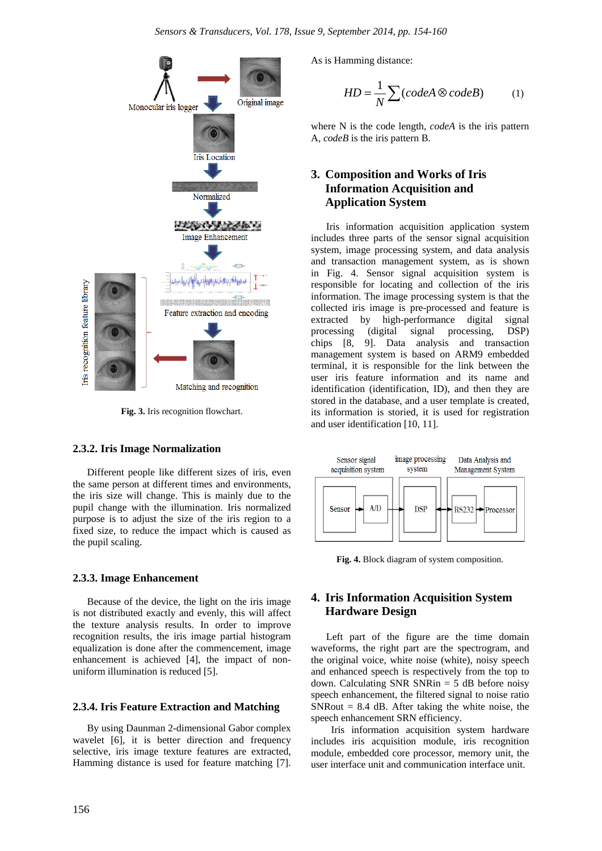

**Fig. 3.** Iris recognition flowchart.

# **2.3.2. Iris Image Normalization**

Different people like different sizes of iris, even the same person at different times and environments, the iris size will change. This is mainly due to the pupil change with the illumination. Iris normalized purpose is to adjust the size of the iris region to a fixed size, to reduce the impact which is caused as the pupil scaling.

#### **2.3.3. Image Enhancement**

Because of the device, the light on the iris image is not distributed exactly and evenly, this will affect the texture analysis results. In order to improve recognition results, the iris image partial histogram equalization is done after the commencement, image enhancement is achieved [4], the impact of nonuniform illumination is reduced [5].

# **2.3.4. Iris Feature Extraction and Matching**

By using Daunman 2-dimensional Gabor complex wavelet [6], it is better direction and frequency selective, iris image texture features are extracted, Hamming distance is used for feature matching [7]. As is Hamming distance:

$$
HD = \frac{1}{N} \sum (codeA \otimes codeB) \tag{1}
$$

where N is the code length, *codeA* is the iris pattern A, *codeB* is the iris pattern B.

# **3. Composition and Works of Iris Information Acquisition and Application System**

Iris information acquisition application system includes three parts of the sensor signal acquisition system, image processing system, and data analysis and transaction management system, as is shown in Fig. 4. Sensor signal acquisition system is responsible for locating and collection of the iris information. The image processing system is that the collected iris image is pre-processed and feature is extracted by high-performance digital signal processing (digital signal processing, DSP) chips [8, 9]. Data analysis and transaction management system is based on ARM9 embedded terminal, it is responsible for the link between the user iris feature information and its name and identification (identification, ID), and then they are stored in the database, and a user template is created, its information is storied, it is used for registration and user identification [10, 11].



**Fig. 4.** Block diagram of system composition.

# **4. Iris Information Acquisition System Hardware Design**

Left part of the figure are the time domain waveforms, the right part are the spectrogram, and the original voice, white noise (white), noisy speech and enhanced speech is respectively from the top to down. Calculating SNR SNRin  $=$  5 dB before noisy speech enhancement, the filtered signal to noise ratio SNRout  $= 8.4$  dB. After taking the white noise, the speech enhancement SRN efficiency.

Iris information acquisition system hardware includes iris acquisition module, iris recognition module, embedded core processor, memory unit, the user interface unit and communication interface unit.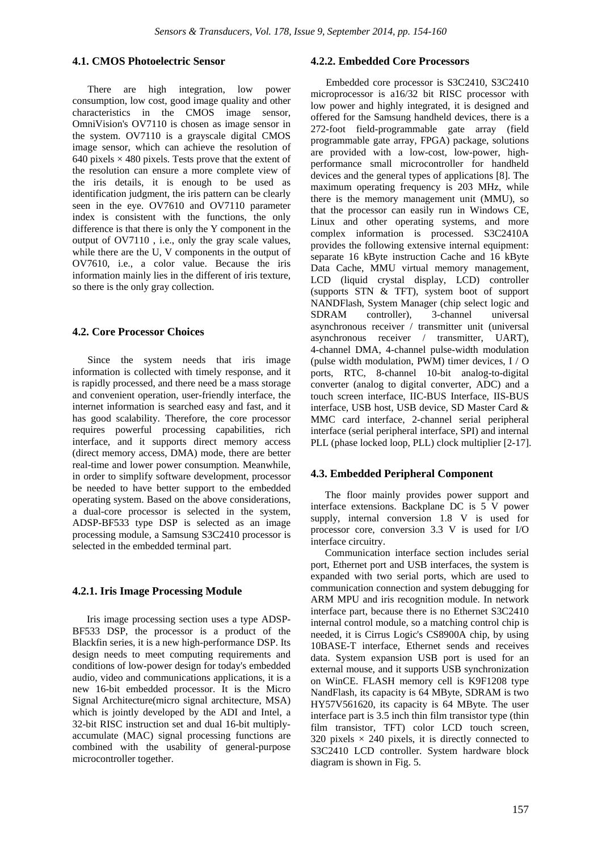# **4.1. CMOS Photoelectric Sensor**

There are high integration, low power consumption, low cost, good image quality and other characteristics in the CMOS image sensor, OmniVision's OV7110 is chosen as image sensor in the system. OV7110 is a grayscale digital CMOS image sensor, which can achieve the resolution of 640 pixels  $\times$  480 pixels. Tests prove that the extent of the resolution can ensure a more complete view of the iris details, it is enough to be used as identification judgment, the iris pattern can be clearly seen in the eye. OV7610 and OV7110 parameter index is consistent with the functions, the only difference is that there is only the Y component in the output of OV7110 , i.e., only the gray scale values, while there are the U, V components in the output of OV7610, i.e., a color value. Because the iris information mainly lies in the different of iris texture, so there is the only gray collection.

# **4.2. Core Processor Choices**

Since the system needs that iris image information is collected with timely response, and it is rapidly processed, and there need be a mass storage and convenient operation, user-friendly interface, the internet information is searched easy and fast, and it has good scalability. Therefore, the core processor requires powerful processing capabilities, rich interface, and it supports direct memory access (direct memory access, DMA) mode, there are better real-time and lower power consumption. Meanwhile, in order to simplify software development, processor be needed to have better support to the embedded operating system. Based on the above considerations, a dual-core processor is selected in the system, ADSP-BF533 type DSP is selected as an image processing module, a Samsung S3C2410 processor is selected in the embedded terminal part.

# **4.2.1. Iris Image Processing Module**

Iris image processing section uses a type ADSP-BF533 DSP, the processor is a product of the Blackfin series, it is a new high-performance DSP. Its design needs to meet computing requirements and conditions of low-power design for today's embedded audio, video and communications applications, it is a new 16-bit embedded processor. It is the Micro Signal Architecture(micro signal architecture, MSA) which is jointly developed by the ADI and Intel, a 32-bit RISC instruction set and dual 16-bit multiplyaccumulate (MAC) signal processing functions are combined with the usability of general-purpose microcontroller together.

# **4.2.2. Embedded Core Processors**

Embedded core processor is S3C2410, S3C2410 microprocessor is a16/32 bit RISC processor with low power and highly integrated, it is designed and offered for the Samsung handheld devices, there is a 272-foot field-programmable gate array (field programmable gate array, FPGA) package, solutions are provided with a low-cost, low-power, highperformance small microcontroller for handheld devices and the general types of applications [8]. The maximum operating frequency is 203 MHz, while there is the memory management unit (MMU), so that the processor can easily run in Windows CE, Linux and other operating systems, and more complex information is processed. S3C2410A provides the following extensive internal equipment: separate 16 kByte instruction Cache and 16 kByte Data Cache, MMU virtual memory management, LCD (liquid crystal display, LCD) controller (supports STN & TFT), system boot of support NANDFlash, System Manager (chip select logic and SDRAM controller), 3-channel universal asynchronous receiver / transmitter unit (universal asynchronous receiver / transmitter, UART), 4-channel DMA, 4-channel pulse-width modulation (pulse width modulation, PWM) timer devices, I / O ports, RTC, 8-channel 10-bit analog-to-digital converter (analog to digital converter, ADC) and a touch screen interface, IIC-BUS Interface, IIS-BUS interface, USB host, USB device, SD Master Card & MMC card interface, 2-channel serial peripheral interface (serial peripheral interface, SPI) and internal PLL (phase locked loop, PLL) clock multiplier [2-17].

# **4.3. Embedded Peripheral Component**

The floor mainly provides power support and interface extensions. Backplane DC is 5 V power supply, internal conversion 1.8 V is used for processor core, conversion 3.3 V is used for I/O interface circuitry.

Communication interface section includes serial port, Ethernet port and USB interfaces, the system is expanded with two serial ports, which are used to communication connection and system debugging for ARM MPU and iris recognition module. In network interface part, because there is no Ethernet S3C2410 internal control module, so a matching control chip is needed, it is Cirrus Logic's CS8900A chip, by using 10BASE-T interface, Ethernet sends and receives data. System expansion USB port is used for an external mouse, and it supports USB synchronization on WinCE. FLASH memory cell is K9F1208 type NandFlash, its capacity is 64 MByte, SDRAM is two HY57V561620, its capacity is 64 MByte. The user interface part is 3.5 inch thin film transistor type (thin film transistor, TFT) color LCD touch screen, 320 pixels  $\times$  240 pixels, it is directly connected to S3C2410 LCD controller. System hardware block diagram is shown in Fig. 5.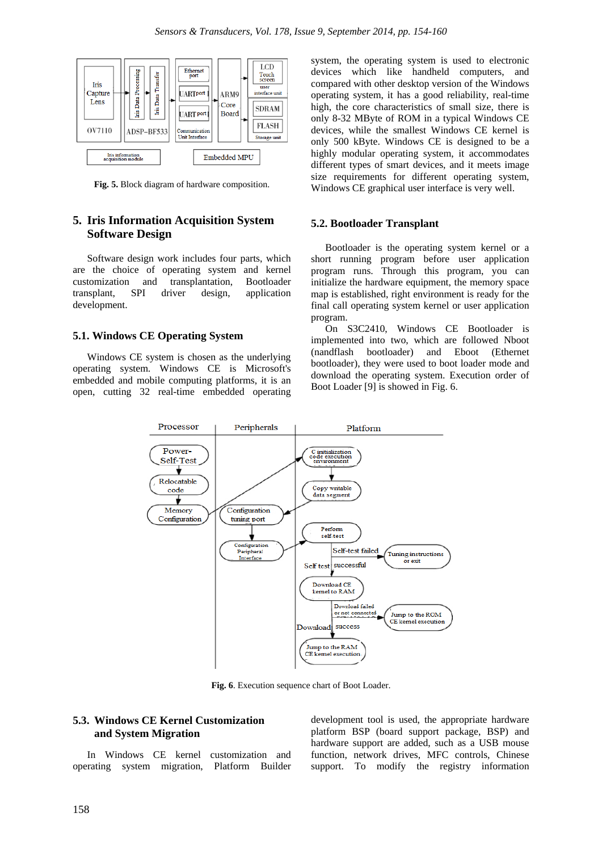

**Fig. 5.** Block diagram of hardware composition.

# **5. Iris Information Acquisition System Software Design**

Software design work includes four parts, which are the choice of operating system and kernel customization and transplantation, Bootloader transplant, SPI driver design, application development.

### **5.1. Windows CE Operating System**

Windows CE system is chosen as the underlying operating system. Windows CE is Microsoft's embedded and mobile computing platforms, it is an open, cutting 32 real-time embedded operating

system, the operating system is used to electronic devices which like handheld computers, and compared with other desktop version of the Windows operating system, it has a good reliability, real-time high, the core characteristics of small size, there is only 8-32 MByte of ROM in a typical Windows CE devices, while the smallest Windows CE kernel is only 500 kByte. Windows CE is designed to be a highly modular operating system, it accommodates different types of smart devices, and it meets image size requirements for different operating system, Windows CE graphical user interface is very well.

#### **5.2. Bootloader Transplant**

Bootloader is the operating system kernel or a short running program before user application program runs. Through this program, you can initialize the hardware equipment, the memory space map is established, right environment is ready for the final call operating system kernel or user application program.

On S3C2410, Windows CE Bootloader is implemented into two, which are followed Nboot (nandflash bootloader) and Eboot (Ethernet bootloader), they were used to boot loader mode and download the operating system. Execution order of Boot Loader [9] is showed in Fig. 6.



**Fig. 6**. Execution sequence chart of Boot Loader.

# **5.3. Windows CE Kernel Customization and System Migration**

In Windows CE kernel customization and operating system migration, Platform Builder

development tool is used, the appropriate hardware platform BSP (board support package, BSP) and hardware support are added, such as a USB mouse function, network drives, MFC controls, Chinese support. To modify the registry information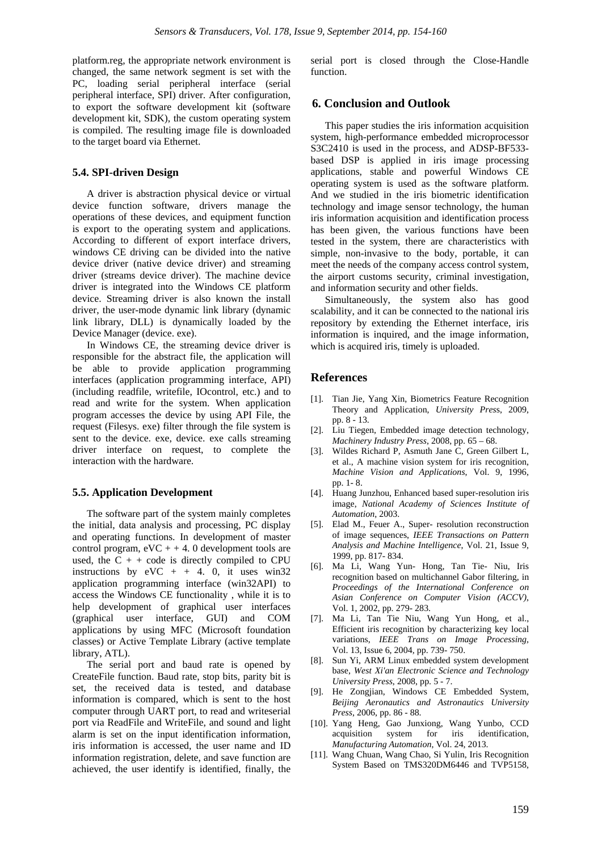platform.reg, the appropriate network environment is changed, the same network segment is set with the PC, loading serial peripheral interface (serial peripheral interface, SPI) driver. After configuration, to export the software development kit (software development kit, SDK), the custom operating system is compiled. The resulting image file is downloaded to the target board via Ethernet.

## **5.4. SPI-driven Design**

A driver is abstraction physical device or virtual device function software, drivers manage the operations of these devices, and equipment function is export to the operating system and applications. According to different of export interface drivers, windows CE driving can be divided into the native device driver (native device driver) and streaming driver (streams device driver). The machine device driver is integrated into the Windows CE platform device. Streaming driver is also known the install driver, the user-mode dynamic link library (dynamic link library, DLL) is dynamically loaded by the Device Manager (device. exe).

In Windows CE, the streaming device driver is responsible for the abstract file, the application will be able to provide application programming interfaces (application programming interface, API) (including readfile, writefile, IOcontrol, etc.) and to read and write for the system. When application program accesses the device by using API File, the request (Filesys. exe) filter through the file system is sent to the device. exe, device. exe calls streaming driver interface on request, to complete the interaction with the hardware.

#### **5.5. Application Development**

The software part of the system mainly completes the initial, data analysis and processing, PC display and operating functions. In development of master control program,  $eVC + +4$ . 0 development tools are used, the  $C + + \text{code}$  is directly compiled to CPU instructions by  $eVC + + 4$ . 0, it uses win32 application programming interface (win32API) to access the Windows CE functionality , while it is to help development of graphical user interfaces (graphical user interface, GUI) and COM applications by using MFC (Microsoft foundation classes) or Active Template Library (active template library, ATL).

The serial port and baud rate is opened by CreateFile function. Baud rate, stop bits, parity bit is set, the received data is tested, and database information is compared, which is sent to the host computer through UART port, to read and writeserial port via ReadFile and WriteFile, and sound and light alarm is set on the input identification information, iris information is accessed, the user name and ID information registration, delete, and save function are achieved, the user identify is identified, finally, the

serial port is closed through the Close-Handle function.

## **6. Conclusion and Outlook**

This paper studies the iris information acquisition system, high-performance embedded microprocessor S3C2410 is used in the process, and ADSP-BF533 based DSP is applied in iris image processing applications, stable and powerful Windows CE operating system is used as the software platform. And we studied in the iris biometric identification technology and image sensor technology, the human iris information acquisition and identification process has been given, the various functions have been tested in the system, there are characteristics with simple, non-invasive to the body, portable, it can meet the needs of the company access control system, the airport customs security, criminal investigation, and information security and other fields.

Simultaneously, the system also has good scalability, and it can be connected to the national iris repository by extending the Ethernet interface, iris information is inquired, and the image information, which is acquired iris, timely is uploaded.

# **References**

- [1]. Tian Jie, Yang Xin, Biometrics Feature Recognition Theory and Application, *University Pres*s, 2009, pp. 8 - 13.
- [2]. Liu Tiegen, Embedded image detection technology, *Machinery Industry Press*, 2008, pp. 65 – 68.
- [3]. Wildes Richard P, Asmuth Jane C, Green Gilbert L, et al., A machine vision system for iris recognition, *Machine Vision and Applications*, Vol. 9, 1996, pp. 1- 8.
- [4]. Huang Junzhou, Enhanced based super-resolution iris image, *National Academy of Sciences Institute of Automation*, 2003.
- [5]. Elad M., Feuer A., Super- resolution reconstruction of image sequences, *IEEE Transactions on Pattern Analysis and Machine Intelligence*, Vol. 21, Issue 9, 1999, pp. 817- 834.
- [6]. Ma Li, Wang Yun- Hong, Tan Tie- Niu, Iris recognition based on multichannel Gabor filtering, in *Proceedings of the International Conference on Asian Conference on Computer Vision (ACCV)*, Vol. 1, 2002, pp. 279- 283.
- [7]. Ma Li, Tan Tie Niu, Wang Yun Hong, et al., Efficient iris recognition by characterizing key local variations, *IEEE Trans on Image Processing,* Vol. 13, Issue 6, 2004, pp. 739- 750.
- [8]. Sun Yi, ARM Linux embedded system development base, *West Xi'an Electronic Science and Technology University Press*, 2008, pp. 5 - 7.
- [9]. He Zongjian, Windows CE Embedded System, *Beijing Aeronautics and Astronautics University Press*, 2006, pp. 86 - 88.
- [10]. Yang Heng, Gao Junxiong, Wang Yunbo, CCD acquisition system for iris identification, *Manufacturing Automation*, Vol. 24, 2013.
- [11]. Wang Chuan, Wang Chao, Si Yulin, Iris Recognition System Based on TMS320DM6446 and TVP5158,